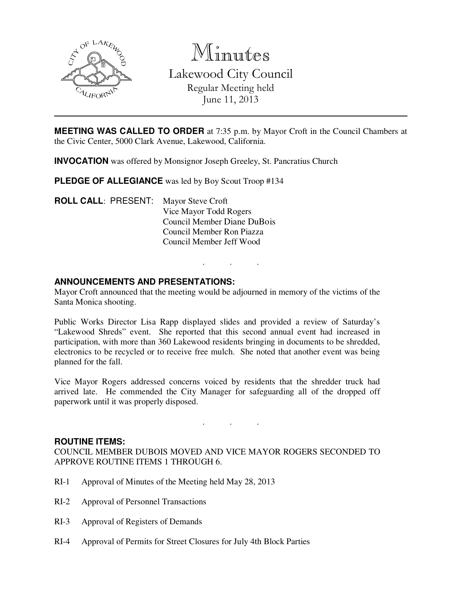

Minutes

Lakewood City Council Regular Meeting held June 11, 2013

**MEETING WAS CALLED TO ORDER** at 7:35 p.m. by Mayor Croft in the Council Chambers at the Civic Center, 5000 Clark Avenue, Lakewood, California.

**INVOCATION** was offered by Monsignor Joseph Greeley, St. Pancratius Church

**PLEDGE OF ALLEGIANCE** was led by Boy Scout Troop #134

**ROLL CALL**: PRESENT: Mayor Steve Croft Vice Mayor Todd Rogers Council Member Diane DuBois Council Member Ron Piazza Council Member Jeff Wood

# **ANNOUNCEMENTS AND PRESENTATIONS:**

Mayor Croft announced that the meeting would be adjourned in memory of the victims of the Santa Monica shooting.

. . .

Public Works Director Lisa Rapp displayed slides and provided a review of Saturday's "Lakewood Shreds" event. She reported that this second annual event had increased in participation, with more than 360 Lakewood residents bringing in documents to be shredded, electronics to be recycled or to receive free mulch. She noted that another event was being planned for the fall.

Vice Mayor Rogers addressed concerns voiced by residents that the shredder truck had arrived late. He commended the City Manager for safeguarding all of the dropped off paperwork until it was properly disposed.

. . .

### **ROUTINE ITEMS:**

COUNCIL MEMBER DUBOIS MOVED AND VICE MAYOR ROGERS SECONDED TO APPROVE ROUTINE ITEMS 1 THROUGH 6.

- RI-1 Approval of Minutes of the Meeting held May 28, 2013
- RI-2 Approval of Personnel Transactions
- RI-3 Approval of Registers of Demands
- RI-4 Approval of Permits for Street Closures for July 4th Block Parties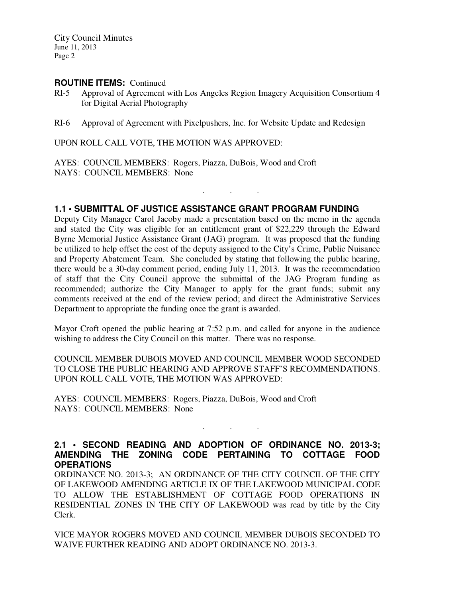City Council Minutes June 11, 2013 Page 2

### **ROUTINE ITEMS:** Continued

- RI-5 Approval of Agreement with Los Angeles Region Imagery Acquisition Consortium 4 for Digital Aerial Photography
- RI-6 Approval of Agreement with Pixelpushers, Inc. for Website Update and Redesign

UPON ROLL CALL VOTE, THE MOTION WAS APPROVED:

AYES: COUNCIL MEMBERS: Rogers, Piazza, DuBois, Wood and Croft NAYS: COUNCIL MEMBERS: None

### **1.1 • SUBMITTAL OF JUSTICE ASSISTANCE GRANT PROGRAM FUNDING**

. . .

Deputy City Manager Carol Jacoby made a presentation based on the memo in the agenda and stated the City was eligible for an entitlement grant of \$22,229 through the Edward Byrne Memorial Justice Assistance Grant (JAG) program. It was proposed that the funding be utilized to help offset the cost of the deputy assigned to the City's Crime, Public Nuisance and Property Abatement Team. She concluded by stating that following the public hearing, there would be a 30-day comment period, ending July 11, 2013. It was the recommendation of staff that the City Council approve the submittal of the JAG Program funding as recommended; authorize the City Manager to apply for the grant funds; submit any comments received at the end of the review period; and direct the Administrative Services Department to appropriate the funding once the grant is awarded.

Mayor Croft opened the public hearing at 7:52 p.m. and called for anyone in the audience wishing to address the City Council on this matter. There was no response.

COUNCIL MEMBER DUBOIS MOVED AND COUNCIL MEMBER WOOD SECONDED TO CLOSE THE PUBLIC HEARING AND APPROVE STAFF'S RECOMMENDATIONS. UPON ROLL CALL VOTE, THE MOTION WAS APPROVED:

AYES: COUNCIL MEMBERS: Rogers, Piazza, DuBois, Wood and Croft NAYS: COUNCIL MEMBERS: None

# **2.1 • SECOND READING AND ADOPTION OF ORDINANCE NO. 2013-3; AMENDING THE ZONING CODE PERTAINING TO COTTAGE FOOD OPERATIONS**

. . .

ORDINANCE NO. 2013-3; AN ORDINANCE OF THE CITY COUNCIL OF THE CITY OF LAKEWOOD AMENDING ARTICLE IX OF THE LAKEWOOD MUNICIPAL CODE TO ALLOW THE ESTABLISHMENT OF COTTAGE FOOD OPERATIONS IN RESIDENTIAL ZONES IN THE CITY OF LAKEWOOD was read by title by the City Clerk.

VICE MAYOR ROGERS MOVED AND COUNCIL MEMBER DUBOIS SECONDED TO WAIVE FURTHER READING AND ADOPT ORDINANCE NO. 2013-3.